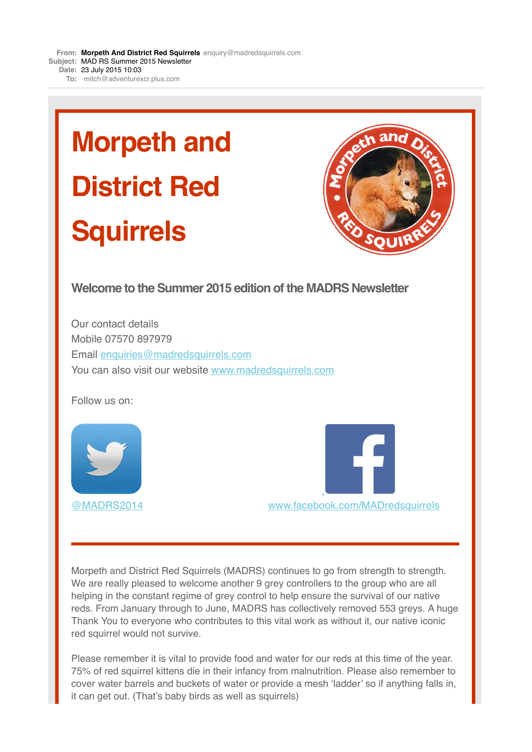**From: Morpeth And District Red [Squirrels](mailto:Squirrelsenquiry@madredsquirrels.com)** [enquiry@madredsquirrels.com](mailto:Squirrelsenquiry@madredsquirrels.com) **Subject:** MAD RS Summer 2015 Newsletter **Date:** 23 July 2015 10:03 **To:** [mitch@adventurexcr.plus.com](mailto:mitch@adventurexcr.plus.com)

# **Morpeth and District Red Squirrels**



#### **Welcome to the Summer 2015 edition of the MADRS Newsletter**

Our contact details Mobile 07570 897979 Email [enquiries@madredsquirrels.com](mailto:enquiries@madredsquirrels.com) You can also visit our website [www.madredsquirrels.com](http://madredsquirrels.us9.list-manage1.com/track/click?u=de8abd118e0fd1ca285927950&id=74af7d2047&e=9fe3cf93ea)

Follow us on:





Morpeth and District Red Squirrels (MADRS) continues to go from strength to strength. We are really pleased to welcome another 9 grey controllers to the group who are all helping in the constant regime of grey control to help ensure the survival of our native reds. From January through to June, MADRS has collectively removed 553 greys. A huge Thank You to everyone who contributes to this vital work as without it, our native iconic red squirrel would not survive.

Please remember it is vital to provide food and water for our reds at this time of the year. 75% of red squirrel kittens die in their infancy from malnutrition. Please also remember to cover water barrels and buckets of water or provide a mesh 'ladder' so if anything falls in, it can get out. (That's baby birds as well as squirrels)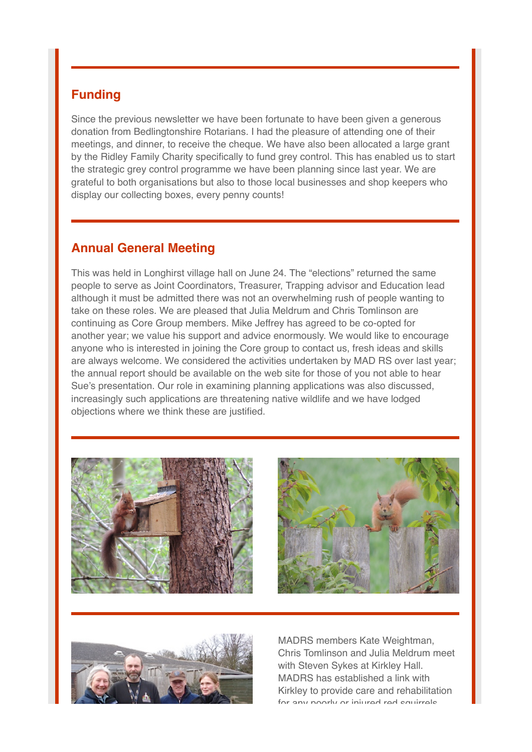## **Funding**

Since the previous newsletter we have been fortunate to have been given a generous donation from Bedlingtonshire Rotarians. I had the pleasure of attending one of their meetings, and dinner, to receive the cheque. We have also been allocated a large grant by the Ridley Family Charity specifically to fund grey control. This has enabled us to start the strategic grey control programme we have been planning since last year. We are grateful to both organisations but also to those local businesses and shop keepers who display our collecting boxes, every penny counts!

#### **Annual General Meeting**

This was held in Longhirst village hall on June 24. The "elections" returned the same people to serve as Joint Coordinators, Treasurer, Trapping advisor and Education lead although it must be admitted there was not an overwhelming rush of people wanting to take on these roles. We are pleased that Julia Meldrum and Chris Tomlinson are continuing as Core Group members. Mike Jeffrey has agreed to be co-opted for another year; we value his support and advice enormously. We would like to encourage anyone who is interested in joining the Core group to contact us, fresh ideas and skills are always welcome. We considered the activities undertaken by MAD RS over last year; the annual report should be available on the web site for those of you not able to hear Sue's presentation. Our role in examining planning applications was also discussed, increasingly such applications are threatening native wildlife and we have lodged objections where we think these are justified.







MADRS members Kate Weightman, Chris Tomlinson and Julia Meldrum meet with Steven Sykes at Kirkley Hall. MADRS has established a link with Kirkley to provide care and rehabilitation for any poorly or injured red squirrels.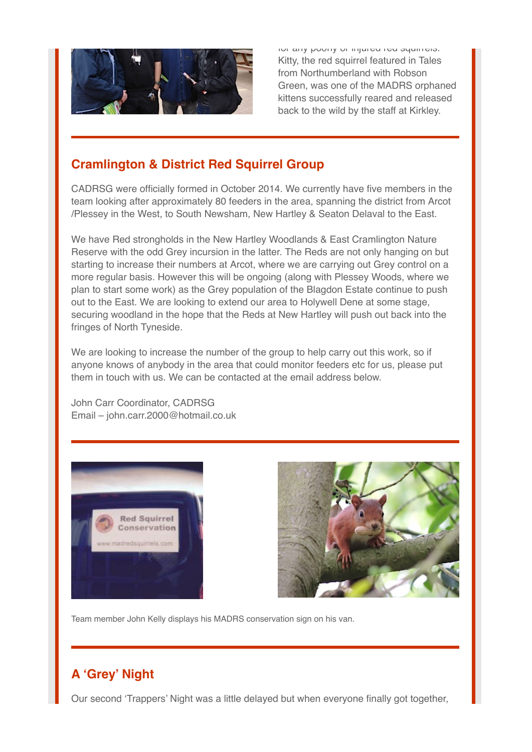

for any poorly or injured red squirrels. Kitty, the red squirrel featured in Tales from Northumberland with Robson Green, was one of the MADRS orphaned kittens successfully reared and released back to the wild by the staff at Kirkley.

### **Cramlington & District Red Squirrel Group**

CADRSG were officially formed in October 2014. We currently have five members in the team looking after approximately 80 feeders in the area, spanning the district from Arcot /Plessey in the West, to South Newsham, New Hartley & Seaton Delaval to the East.

We have Red strongholds in the New Hartley Woodlands & East Cramlington Nature Reserve with the odd Grey incursion in the latter. The Reds are not only hanging on but starting to increase their numbers at Arcot, where we are carrying out Grey control on a more regular basis. However this will be ongoing (along with Plessey Woods, where we plan to start some work) as the Grey population of the Blagdon Estate continue to push out to the East. We are looking to extend our area to Holywell Dene at some stage, securing woodland in the hope that the Reds at New Hartley will push out back into the fringes of North Tyneside.

We are looking to increase the number of the group to help carry out this work, so if anyone knows of anybody in the area that could monitor feeders etc for us, please put them in touch with us. We can be contacted at the email address below.

John Carr Coordinator, CADRSG Email – john.carr.2000@hotmail.co.uk





Team member John Kelly displays his MADRS conservation sign on his van.

## **A 'Grey' Night**

Our second 'Trappers' Night was a little delayed but when everyone finally got together,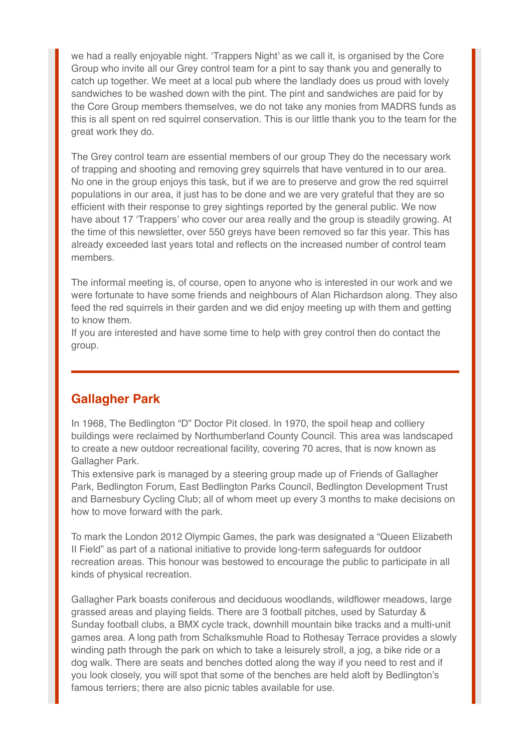we had a really enjoyable night. 'Trappers Night' as we call it, is organised by the Core Group who invite all our Grey control team for a pint to say thank you and generally to catch up together. We meet at a local pub where the landlady does us proud with lovely sandwiches to be washed down with the pint. The pint and sandwiches are paid for by the Core Group members themselves, we do not take any monies from MADRS funds as this is all spent on red squirrel conservation. This is our little thank you to the team for the great work they do.

The Grey control team are essential members of our group They do the necessary work of trapping and shooting and removing grey squirrels that have ventured in to our area. No one in the group enjoys this task, but if we are to preserve and grow the red squirrel populations in our area, it just has to be done and we are very grateful that they are so efficient with their response to grey sightings reported by the general public. We now have about 17 'Trappers' who cover our area really and the group is steadily growing. At the time of this newsletter, over 550 greys have been removed so far this year. This has already exceeded last years total and reflects on the increased number of control team members.

The informal meeting is, of course, open to anyone who is interested in our work and we were fortunate to have some friends and neighbours of Alan Richardson along. They also feed the red squirrels in their garden and we did enjoy meeting up with them and getting to know them.

If you are interested and have some time to help with grey control then do contact the group.

#### **Gallagher Park**

In 1968, The Bedlington "D" Doctor Pit closed. In 1970, the spoil heap and colliery buildings were reclaimed by Northumberland County Council. This area was landscaped to create a new outdoor recreational facility, covering 70 acres, that is now known as Gallagher Park.

This extensive park is managed by a steering group made up of Friends of Gallagher Park, Bedlington Forum, East Bedlington Parks Council, Bedlington Development Trust and Barnesbury Cycling Club; all of whom meet up every 3 months to make decisions on how to move forward with the park.

To mark the London 2012 Olympic Games, the park was designated a "Queen Elizabeth II Field" as part of a national initiative to provide long-term safeguards for outdoor recreation areas. This honour was bestowed to encourage the public to participate in all kinds of physical recreation.

Gallagher Park boasts coniferous and deciduous woodlands, wildflower meadows, large grassed areas and playing fields. There are 3 football pitches, used by Saturday & Sunday football clubs, a BMX cycle track, downhill mountain bike tracks and a multi-unit games area. A long path from Schalksmuhle Road to Rothesay Terrace provides a slowly winding path through the park on which to take a leisurely stroll, a jog, a bike ride or a dog walk. There are seats and benches dotted along the way if you need to rest and if you look closely, you will spot that some of the benches are held aloft by Bedlington's famous terriers; there are also picnic tables available for use.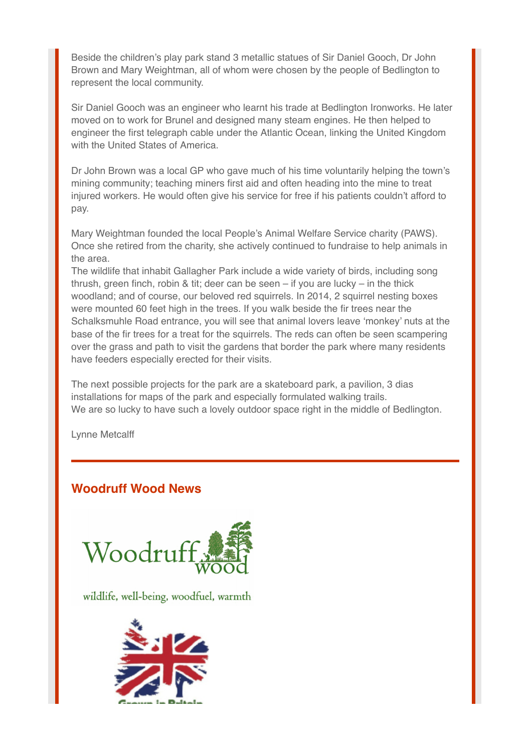Beside the children's play park stand 3 metallic statues of Sir Daniel Gooch, Dr John Brown and Mary Weightman, all of whom were chosen by the people of Bedlington to represent the local community.

Sir Daniel Gooch was an engineer who learnt his trade at Bedlington Ironworks. He later moved on to work for Brunel and designed many steam engines. He then helped to engineer the first telegraph cable under the Atlantic Ocean, linking the United Kingdom with the United States of America.

Dr John Brown was a local GP who gave much of his time voluntarily helping the town's mining community; teaching miners first aid and often heading into the mine to treat injured workers. He would often give his service for free if his patients couldn't afford to pay.

Mary Weightman founded the local People's Animal Welfare Service charity (PAWS). Once she retired from the charity, she actively continued to fundraise to help animals in the area.

The wildlife that inhabit Gallagher Park include a wide variety of birds, including song thrush, green finch, robin & tit; deer can be seen – if you are lucky – in the thick woodland; and of course, our beloved red squirrels. In 2014, 2 squirrel nesting boxes were mounted 60 feet high in the trees. If you walk beside the fir trees near the Schalksmuhle Road entrance, you will see that animal lovers leave 'monkey' nuts at the base of the fir trees for a treat for the squirrels. The reds can often be seen scampering over the grass and path to visit the gardens that border the park where many residents have feeders especially erected for their visits.

The next possible projects for the park are a skateboard park, a pavilion, 3 dias installations for maps of the park and especially formulated walking trails. We are so lucky to have such a lovely outdoor space right in the middle of Bedlington.

Lynne Metcalff

#### **Woodruff Wood News**



wildlife, well-being, woodfuel, warmth

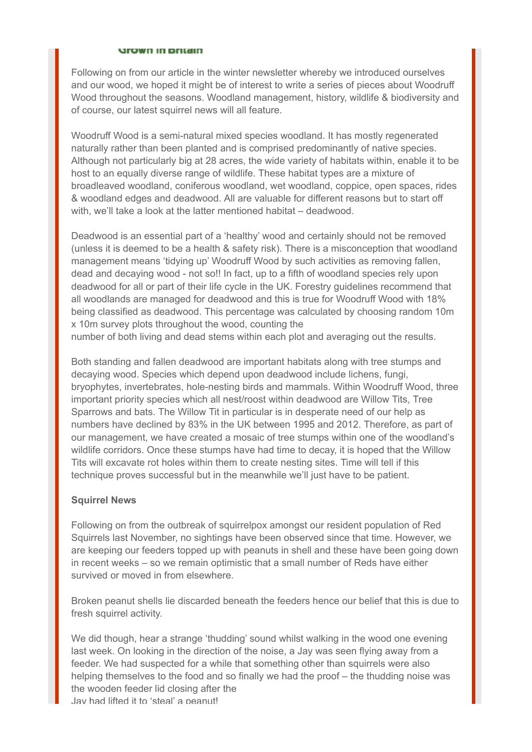#### **Srown in pritain**

Following on from our article in the winter newsletter whereby we introduced ourselves and our wood, we hoped it might be of interest to write a series of pieces about Woodruff Wood throughout the seasons. Woodland management, history, wildlife & biodiversity and of course, our latest squirrel news will all feature.

Woodruff Wood is a semi-natural mixed species woodland. It has mostly regenerated naturally rather than been planted and is comprised predominantly of native species. Although not particularly big at 28 acres, the wide variety of habitats within, enable it to be host to an equally diverse range of wildlife. These habitat types are a mixture of broadleaved woodland, coniferous woodland, wet woodland, coppice, open spaces, rides & woodland edges and deadwood. All are valuable for different reasons but to start off with, we'll take a look at the latter mentioned habitat – deadwood.

Deadwood is an essential part of a 'healthy' wood and certainly should not be removed (unless it is deemed to be a health & safety risk). There is a misconception that woodland management means 'tidying up' Woodruff Wood by such activities as removing fallen, dead and decaying wood - not so!! In fact, up to a fifth of woodland species rely upon deadwood for all or part of their life cycle in the UK. Forestry guidelines recommend that all woodlands are managed for deadwood and this is true for Woodruff Wood with 18% being classified as deadwood. This percentage was calculated by choosing random 10m x 10m survey plots throughout the wood, counting the

number of both living and dead stems within each plot and averaging out the results.

Both standing and fallen deadwood are important habitats along with tree stumps and decaying wood. Species which depend upon deadwood include lichens, fungi, bryophytes, invertebrates, hole-nesting birds and mammals. Within Woodruff Wood, three important priority species which all nest/roost within deadwood are Willow Tits, Tree Sparrows and bats. The Willow Tit in particular is in desperate need of our help as numbers have declined by 83% in the UK between 1995 and 2012. Therefore, as part of our management, we have created a mosaic of tree stumps within one of the woodland's wildlife corridors. Once these stumps have had time to decay, it is hoped that the Willow Tits will excavate rot holes within them to create nesting sites. Time will tell if this technique proves successful but in the meanwhile we'll just have to be patient.

#### **Squirrel News**

Following on from the outbreak of squirrelpox amongst our resident population of Red Squirrels last November, no sightings have been observed since that time. However, we are keeping our feeders topped up with peanuts in shell and these have been going down in recent weeks – so we remain optimistic that a small number of Reds have either survived or moved in from elsewhere.

Broken peanut shells lie discarded beneath the feeders hence our belief that this is due to fresh squirrel activity.

We did though, hear a strange 'thudding' sound whilst walking in the wood one evening last week. On looking in the direction of the noise, a Jay was seen flying away from a feeder. We had suspected for a while that something other than squirrels were also helping themselves to the food and so finally we had the proof – the thudding noise was the wooden feeder lid closing after the Jay had lifted it to 'steal' a peanut!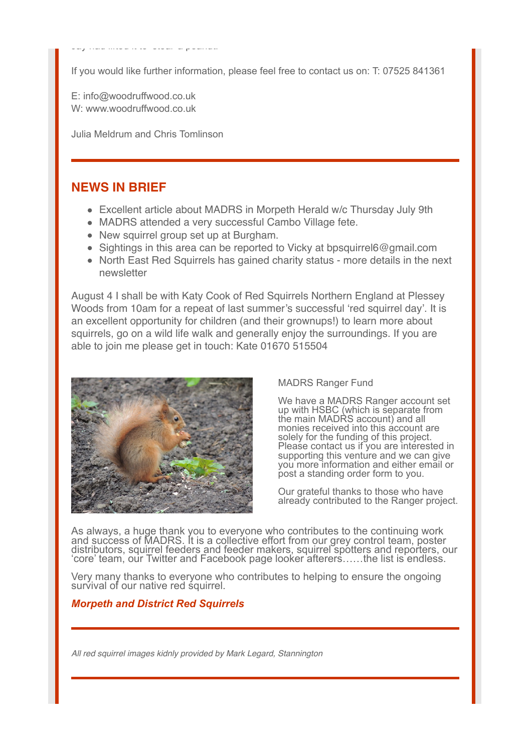If you would like further information, please feel free to contact us on: T: 07525 841361

E: info@woodruffwood.co.uk W: www.woodruffwood.co.uk

Julia Meldrum and Chris Tomlinson

Jay had lifted it to 'steal' a peanut!

#### **NEWS IN BRIEF**

- Excellent article about MADRS in Morpeth Herald w/c Thursday July 9th
- MADRS attended a very successful Cambo Village fete.
- New squirrel group set up at Burgham.
- $\bullet$  Sightings in this area can be reported to Vicky at bpsquirrel6@gmail.com
- North East Red Squirrels has gained charity status more details in the next newsletter

August 4 I shall be with Katy Cook of Red Squirrels Northern England at Plessey Woods from 10am for a repeat of last summer's successful 'red squirrel day'. It is an excellent opportunity for children (and their grownups!) to learn more about squirrels, go on a wild life walk and generally enjoy the surroundings. If you are able to join me please get in touch: Kate 01670 515504



MADRS Ranger Fund

We have a MADRS Ranger account set up with HSBC (which is separate from the main MADRS account) and all monies received into this account are solely for the funding of this project. Please contact us if you are interested in supporting this venture and we can give you more information and either email or post a standing order form to you.

Our grateful thanks to those who have already contributed to the Ranger project.

As always, a huge thank you to everyone who contributes to the continuing work and success of MADRS. It is a collective effort from our grey control team, poster distributors, squirrel feeders and feeder makers, squirrel spotters and reporters, our 'core' team, our Twitter and Facebook page looker afterers……the list is endless.

Very many thanks to everyone who contributes to helping to ensure the ongoing survival of our native red squirrel.

#### *Morpeth and District Red Squirrels*

*All red squirrel images kidnly provided by Mark Legard, Stannington*